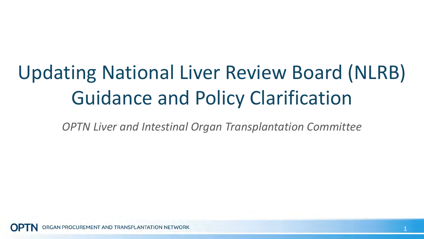## Updating National Liver Review Board (NLRB) Guidance and Policy Clarification

*OPTN Liver and Intestinal Organ Transplantation Committee*

**GAN PROCUREMENT AND TRANSPLANTATION NETWORK**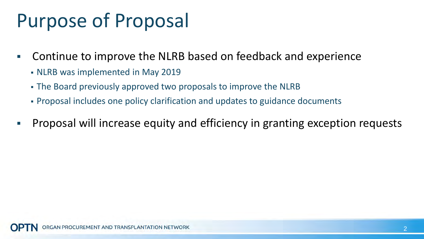## Purpose of Proposal

- Continue to improve the NLRB based on feedback and experience
	- NLRB was implemented in May 2019
	- The Board previously approved two proposals to improve the NLRB
	- Proposal includes one policy clarification and updates to guidance documents
- **Proposal will increase equity and efficiency in granting exception requests**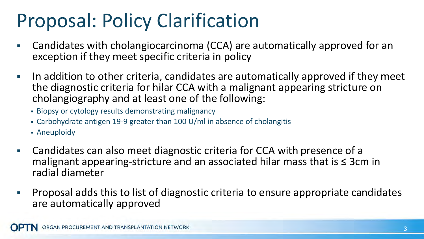## Proposal: Policy Clarification

- Candidates with cholangiocarcinoma (CCA) are automatically approved for an exception if they meet specific criteria in policy
- In addition to other criteria, candidates are automatically approved if they meet the diagnostic criteria for hilar CCA with a malignant appearing stricture on cholangiography and at least one of the following:
	- **Biopsy or cytology results demonstrating malignancy**
	- Carbohydrate antigen 19-9 greater than 100 U/ml in absence of cholangitis
	- Aneuploidy
- Candidates can also meet diagnostic criteria for CCA with presence of a malignant appearing-stricture and an associated hilar mass that is ≤ 3cm in radial diameter
- Proposal adds this to list of diagnostic criteria to ensure appropriate candidates are automatically approved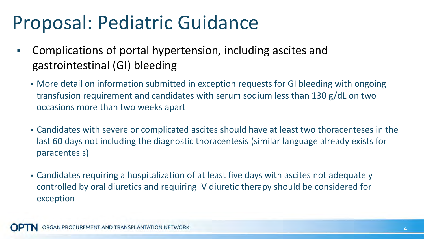### Proposal: Pediatric Guidance

- Complications of portal hypertension, including ascites and gastrointestinal (GI) bleeding
	- More detail on information submitted in exception requests for GI bleeding with ongoing transfusion requirement and candidates with serum sodium less than 130 g/dL on two occasions more than two weeks apart
	- Candidates with severe or complicated ascites should have at least two thoracenteses in the last 60 days not including the diagnostic thoracentesis (similar language already exists for paracentesis)
	- Candidates requiring a hospitalization of at least five days with ascites not adequately controlled by oral diuretics and requiring IV diuretic therapy should be considered for exception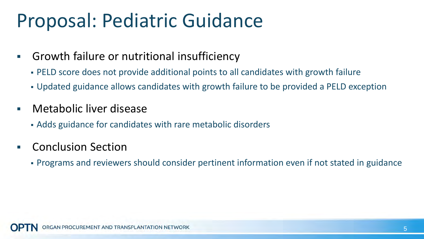### Proposal: Pediatric Guidance

- Growth failure or nutritional insufficiency
	- PELD score does not provide additional points to all candidates with growth failure
	- Updated guidance allows candidates with growth failure to be provided a PELD exception
- Metabolic liver disease
	- Adds guidance for candidates with rare metabolic disorders
- Conclusion Section
	- Programs and reviewers should consider pertinent information even if not stated in guidance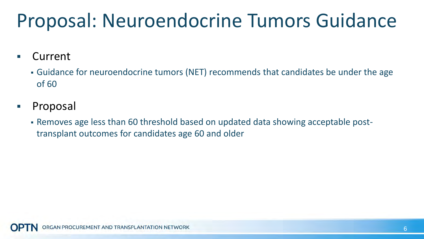## Proposal: Neuroendocrine Tumors Guidance

Current

- Guidance for neuroendocrine tumors (NET) recommends that candidates be under the age of 60
- Proposal
	- Removes age less than 60 threshold based on updated data showing acceptable posttransplant outcomes for candidates age 60 and older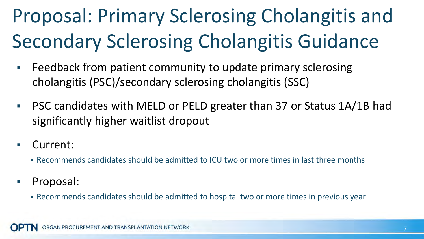# Proposal: Primary Sclerosing Cholangitis and Secondary Sclerosing Cholangitis Guidance

- Feedback from patient community to update primary sclerosing cholangitis (PSC)/secondary sclerosing cholangitis (SSC)
- PSC candidates with MELD or PELD greater than 37 or Status 1A/1B had significantly higher waitlist dropout
- Current:
	- Recommends candidates should be admitted to ICU two or more times in last three months
- Proposal:
	- Recommends candidates should be admitted to hospital two or more times in previous year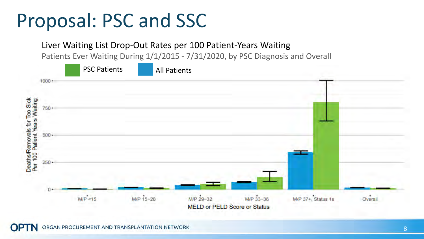#### Proposal: PSC and SSC

Liver Waiting List Drop-Out Rates per 100 Patient-Years Waiting

Patients Ever Waiting During 1/1/2015 - 7/31/2020, by PSC Diagnosis and Overall

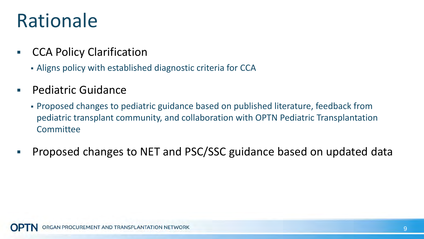### Rationale

- CCA Policy Clarification
	- Aligns policy with established diagnostic criteria for CCA
- Pediatric Guidance
	- Proposed changes to pediatric guidance based on published literature, feedback from pediatric transplant community, and collaboration with OPTN Pediatric Transplantation Committee
- Proposed changes to NET and PSC/SSC guidance based on updated data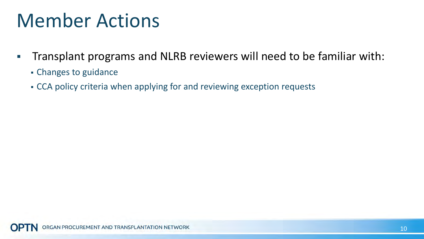### Member Actions

- **The Transplant programs and NLRB reviewers will need to be familiar with:** 
	- Changes to guidance
	- CCA policy criteria when applying for and reviewing exception requests